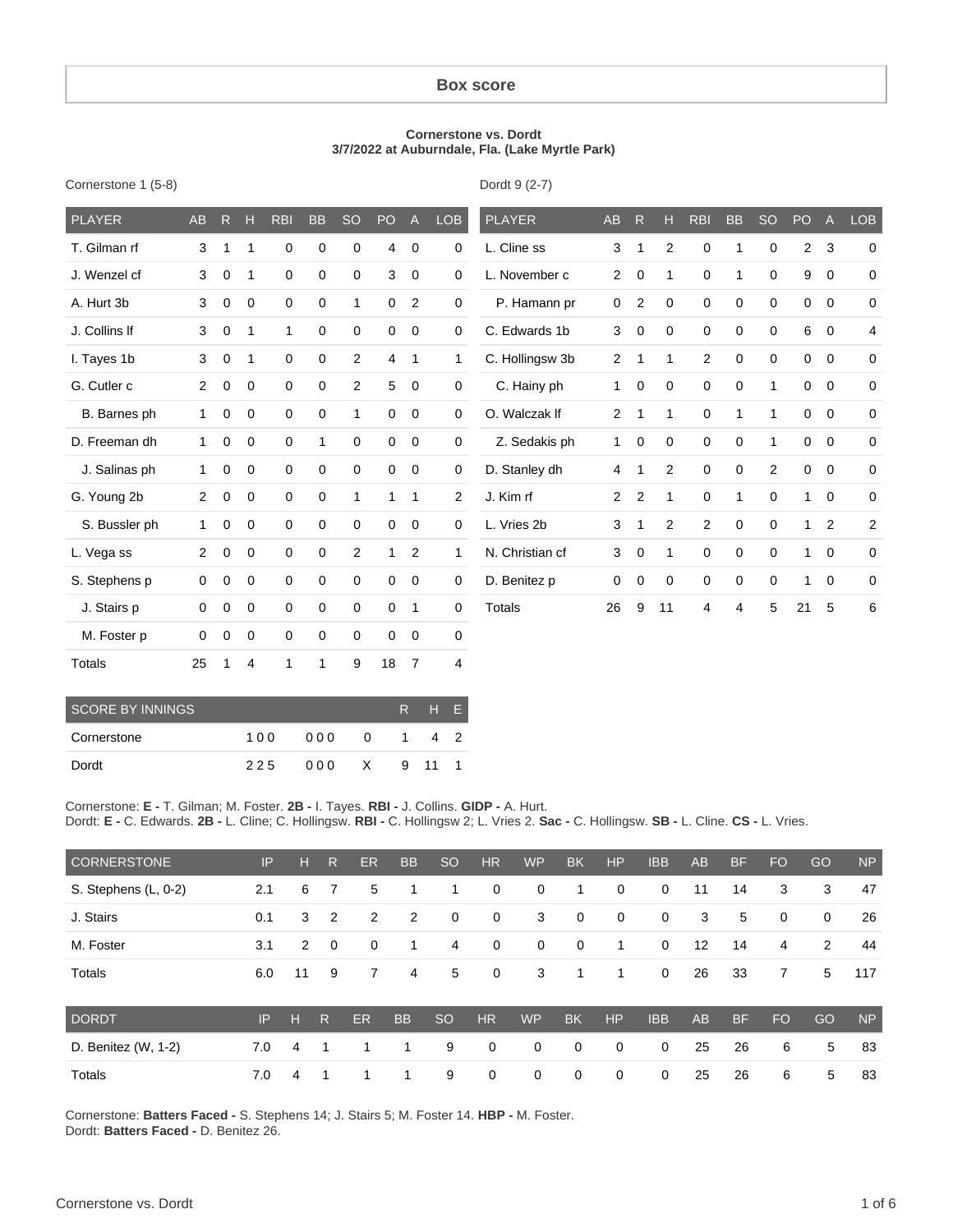#### **Box score**

#### **Cornerstone vs. Dordt 3/7/2022 at Auburndale, Fla. (Lake Myrtle Park)**

| Cornerstone 1 (5-8) |  |  |
|---------------------|--|--|
|---------------------|--|--|

Dordt 9 (2-7)

| <b>PLAYER</b> | <b>AB</b>      | $\mathsf{R}$ | H           | <b>RBI</b>   | <b>BB</b>   | <b>SO</b>      | PO             | $\overline{A}$ | <b>LOB</b>     | <b>PLAYER</b>   | AB             | $\mathsf{R}$   | н            | <b>RBI</b>     | <b>BB</b>   | <b>SO</b>   | PO             | A              | <b>LOB</b>     |
|---------------|----------------|--------------|-------------|--------------|-------------|----------------|----------------|----------------|----------------|-----------------|----------------|----------------|--------------|----------------|-------------|-------------|----------------|----------------|----------------|
| T. Gilman rf  | 3              | $\mathbf{1}$ | 1           | $\mathsf 0$  | $\mathbf 0$ | $\mathbf 0$    | $\overline{4}$ | $\mathbf 0$    | $\mathbf 0$    | L. Cline ss     | 3              | $\mathbf{1}$   | 2            | $\mathbf 0$    | 1           | $\mathbf 0$ | $\overline{2}$ | $\mathbf{3}$   | 0              |
| J. Wenzel cf  | 3              | $\mathbf 0$  | 1           | $\mathbf 0$  | $\mathbf 0$ | $\mathbf 0$    | 3              | $\mathbf 0$    | 0              | L. November c   | $\mathbf{2}$   | $\mathbf 0$    | $\mathbf{1}$ | $\mathbf 0$    | 1           | $\mathbf 0$ | 9              | $\mathbf 0$    | 0              |
| A. Hurt 3b    | 3              | $\mathbf 0$  | $\mathbf 0$ | 0            | 0           | 1              | 0              | 2              | 0              | P. Hamann pr    | 0              | 2              | $\mathbf 0$  | $\mathbf 0$    | $\mathbf 0$ | $\Omega$    | 0              | $\mathbf 0$    | 0              |
| J. Collins If | 3              | $\mathbf 0$  | 1           | $\mathbf{1}$ | $\mathbf 0$ | $\mathbf 0$    | 0              | $\mathbf 0$    | $\mathbf 0$    | C. Edwards 1b   | 3              | $\mathbf 0$    | $\mathbf 0$  | 0              | 0           | $\Omega$    | 6              | $\mathbf 0$    | 4              |
| I. Tayes 1b   | 3              | $\mathbf 0$  | 1           | $\mathbf 0$  | $\mathbf 0$ | $\overline{c}$ | 4              | 1              | $\mathbf{1}$   | C. Hollingsw 3b | $\overline{2}$ | $\mathbf 1$    | $\mathbf{1}$ | 2              | $\mathbf 0$ | $\Omega$    | 0              | $\mathbf 0$    | 0              |
| G. Cutler c   | $\overline{2}$ | $\mathbf 0$  | $\mathbf 0$ | $\mathbf 0$  | $\mathbf 0$ | 2              | 5              | $\mathbf 0$    | $\mathbf 0$    | C. Hainy ph     | $\mathbf{1}$   | $\mathbf 0$    | $\mathbf 0$  | 0              | 0           | 1           | 0              | $\mathbf 0$    | $\mathbf 0$    |
| B. Barnes ph  | 1              | $\mathbf 0$  | $\mathbf 0$ | $\mathbf 0$  | $\mathbf 0$ | $\mathbf{1}$   | 0              | $\mathbf 0$    | $\mathbf 0$    | O. Walczak If   | $\overline{2}$ | 1              | 1            | $\mathbf 0$    | 1           | 1           | $\mathbf 0$    | $\mathbf 0$    | $\mathbf 0$    |
| D. Freeman dh | $\mathbf{1}$   | $\mathbf 0$  | $\mathbf 0$ | $\mathsf 0$  | 1           | $\mathbf 0$    | $\mathbf 0$    | $\mathbf 0$    | $\mathbf 0$    | Z. Sedakis ph   | $\mathbf{1}$   | 0              | $\mathbf 0$  | $\mathbf 0$    | $\mathbf 0$ | 1           | 0              | $\mathbf 0$    | $\pmb{0}$      |
| J. Salinas ph | $\mathbf{1}$   | $\mathbf 0$  | $\mathbf 0$ | $\mathbf 0$  | $\mathbf 0$ | $\mathbf 0$    | $\mathbf 0$    | $\mathbf 0$    | 0              | D. Stanley dh   | 4              | $\mathbf{1}$   | 2            | $\mathbf 0$    | $\mathbf 0$ | 2           | $\mathbf{0}$   | $\overline{0}$ | $\pmb{0}$      |
| G. Young 2b   | $\overline{2}$ | $\mathbf 0$  | $\mathbf 0$ | $\mathbf 0$  | $\mathbf 0$ | 1              | $\mathbf{1}$   | $\mathbf{1}$   | $\overline{2}$ | J. Kim rf       | $\overline{2}$ | $\overline{2}$ | $\mathbf{1}$ | $\mathbf 0$    | 1           | $\mathbf 0$ | $\mathbf{1}$   | $\mathbf 0$    | $\mathbf 0$    |
| S. Bussler ph | $\mathbf{1}$   | 0            | 0           | $\mathbf 0$  | 0           | $\mathbf 0$    | 0              | $\mathbf 0$    | $\mathbf 0$    | L. Vries 2b     | 3              | 1              | 2            | $\overline{2}$ | $\mathbf 0$ | 0           | $\mathbf{1}$   | 2              | $\overline{c}$ |
| L. Vega ss    | $\overline{2}$ | 0            | $\mathbf 0$ | $\mathsf 0$  | $\mathbf 0$ | 2              | $\mathbf{1}$   | $\overline{2}$ | $\mathbf{1}$   | N. Christian cf | 3              | $\mathbf 0$    | $\mathbf{1}$ | $\mathbf 0$    | $\mathbf 0$ | $\Omega$    | $\mathbf{1}$   | $\mathbf 0$    | $\mathbf 0$    |
| S. Stephens p | 0              | $\mathbf 0$  | $\mathbf 0$ | 0            | $\mathbf 0$ | $\mathbf 0$    | $\mathbf 0$    | $\mathbf 0$    | 0              | D. Benitez p    | 0              | 0              | $\Omega$     | $\mathbf 0$    | $\mathbf 0$ | $\Omega$    | 1              | 0              | 0              |
| J. Stairs p   | 0              | $\mathbf 0$  | $\mathbf 0$ | 0            | $\mathbf 0$ | $\mathbf 0$    | 0              | 1              | $\mathbf 0$    | <b>Totals</b>   | 26             | 9              | 11           | 4              | 4           | 5           | 21             | 5              | 6              |
| M. Foster p   | 0              | $\mathbf 0$  | $\mathbf 0$ | 0            | $\mathbf 0$ | $\mathbf 0$    | 0              | $\mathbf 0$    | 0              |                 |                |                |              |                |             |             |                |                |                |
| Totals        | 25             | 1            | 4           | $\mathbf{1}$ | 1           | 9              | 18             | $\overline{7}$ | 4              |                 |                |                |              |                |             |             |                |                |                |

| SCORE BY INNINGS |     |      |          | $R_{\perp}$ | . H F ' |    |
|------------------|-----|------|----------|-------------|---------|----|
| Cornerstone      | 100 | 00 Q | $\Omega$ | 1.          |         | 42 |
| Dordt            | 225 | 000  | X        |             | 9 11    |    |

Cornerstone: **E -** T. Gilman; M. Foster. **2B -** I. Tayes. **RBI -** J. Collins. **GIDP -** A. Hurt. Dordt: **E -** C. Edwards. **2B -** L. Cline; C. Hollingsw. **RBI -** C. Hollingsw 2; L. Vries 2. **Sac -** C. Hollingsw. **SB -** L. Cline. **CS -** L. Vries.

| <b>CORNERSTONE</b>   | IP  | н            | $\mathsf{R}$ | <b>ER</b> | <b>BB</b> | <b>SO</b>     | <b>HR</b>   | <b>WP</b>   | <b>BK</b>   | <b>HP</b>    | <b>IBB</b>  | <b>AB</b> | <b>BF</b> | <b>FO</b>      | GO          | <b>NP</b> |
|----------------------|-----|--------------|--------------|-----------|-----------|---------------|-------------|-------------|-------------|--------------|-------------|-----------|-----------|----------------|-------------|-----------|
| S. Stephens (L, 0-2) | 2.1 | 6            | 7            | 5         |           | 1             | 0           | 0           | 1           | $\mathbf{0}$ | 0           | 11        | 14        | 3              | 3           | 47        |
| J. Stairs            | 0.1 | 3            | 2            | 2         | 2         | $\mathbf 0$   | $\mathbf 0$ | 3           | $\mathbf 0$ | $\mathbf 0$  | $\mathbf 0$ | 3         | 5         | $\mathbf 0$    | $\mathbf 0$ | 26        |
| M. Foster            | 3.1 | $\mathbf{2}$ | $\mathbf 0$  | 0         | 1         | 4             | 0           | 0           | 0           | 1            | $\mathbf 0$ | 12        | 14        | 4              | 2           | 44        |
| Totals               | 6.0 | 11           | 9            | 7         | 4         | 5             | 0           | 3           | 1           | 1            | $\mathbf 0$ | 26        | 33        | $\overline{7}$ | 5           | 117       |
| <b>DORDT</b>         | IP  | н            | $\mathsf{R}$ | <b>ER</b> | <b>BB</b> | <sub>SO</sub> | HR          | <b>WP</b>   | <b>BK</b>   | HP           | <b>IBB</b>  | AB        | <b>BF</b> | <b>FO</b>      | GO          | <b>NP</b> |
| D. Benitez (W, 1-2)  | 7.0 | 4            | -1           | 1         | 1         | 9             | 0           | $\mathbf 0$ | $\mathbf 0$ | $\mathbf 0$  | 0           | 25        | 26        | 6              | 5           | 83        |
| Totals               | 7.0 | 4            |              | 1         | 1         | 9             | 0           | $\mathbf 0$ | $\mathbf 0$ | $\mathbf 0$  | 0           | 25        | 26        | 6              | 5           | 83        |

Cornerstone: **Batters Faced -** S. Stephens 14; J. Stairs 5; M. Foster 14. **HBP -** M. Foster. Dordt: **Batters Faced -** D. Benitez 26.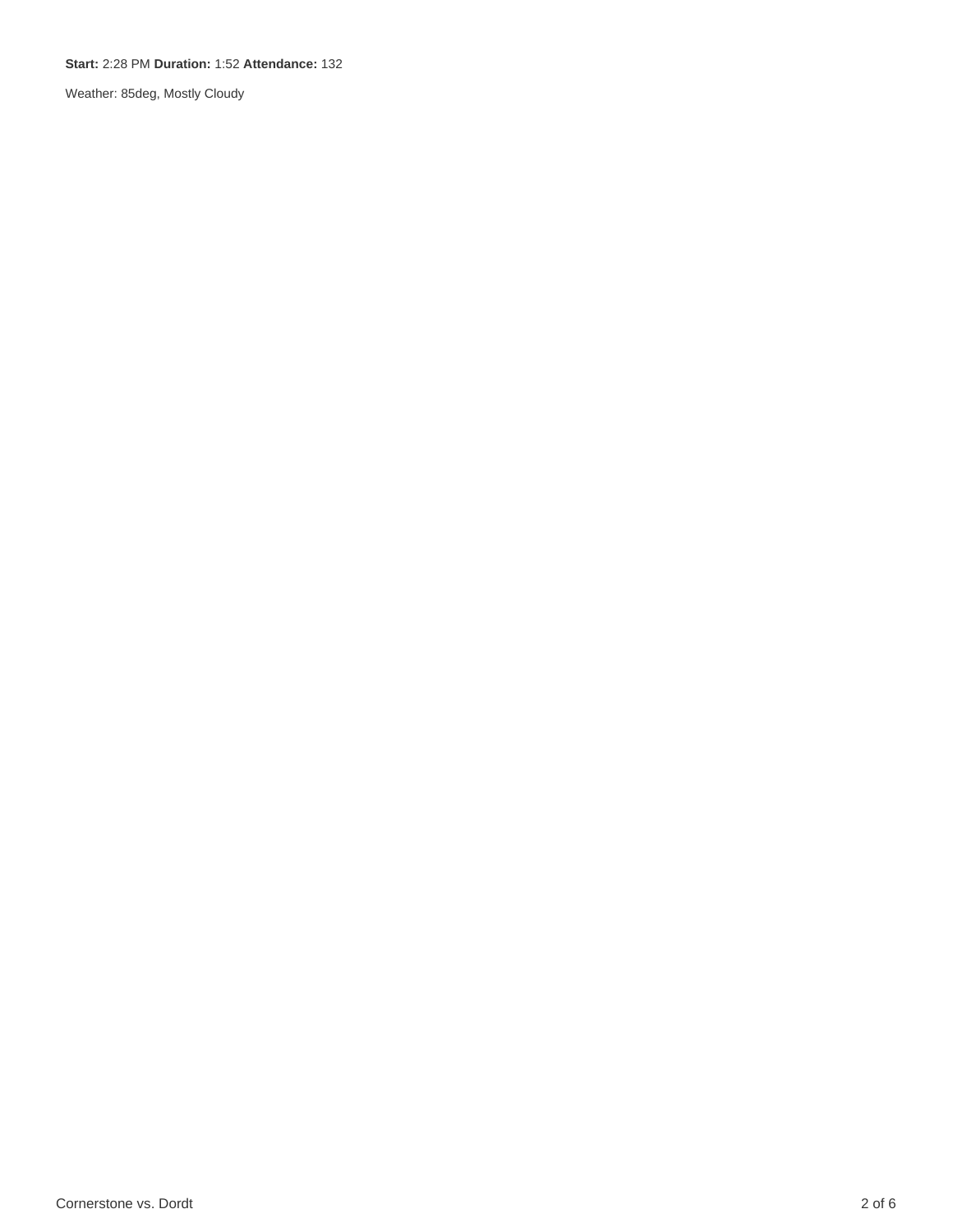#### **Start:** 2:28 PM **Duration:** 1:52 **Attendance:** 132

Weather: 85deg, Mostly Cloudy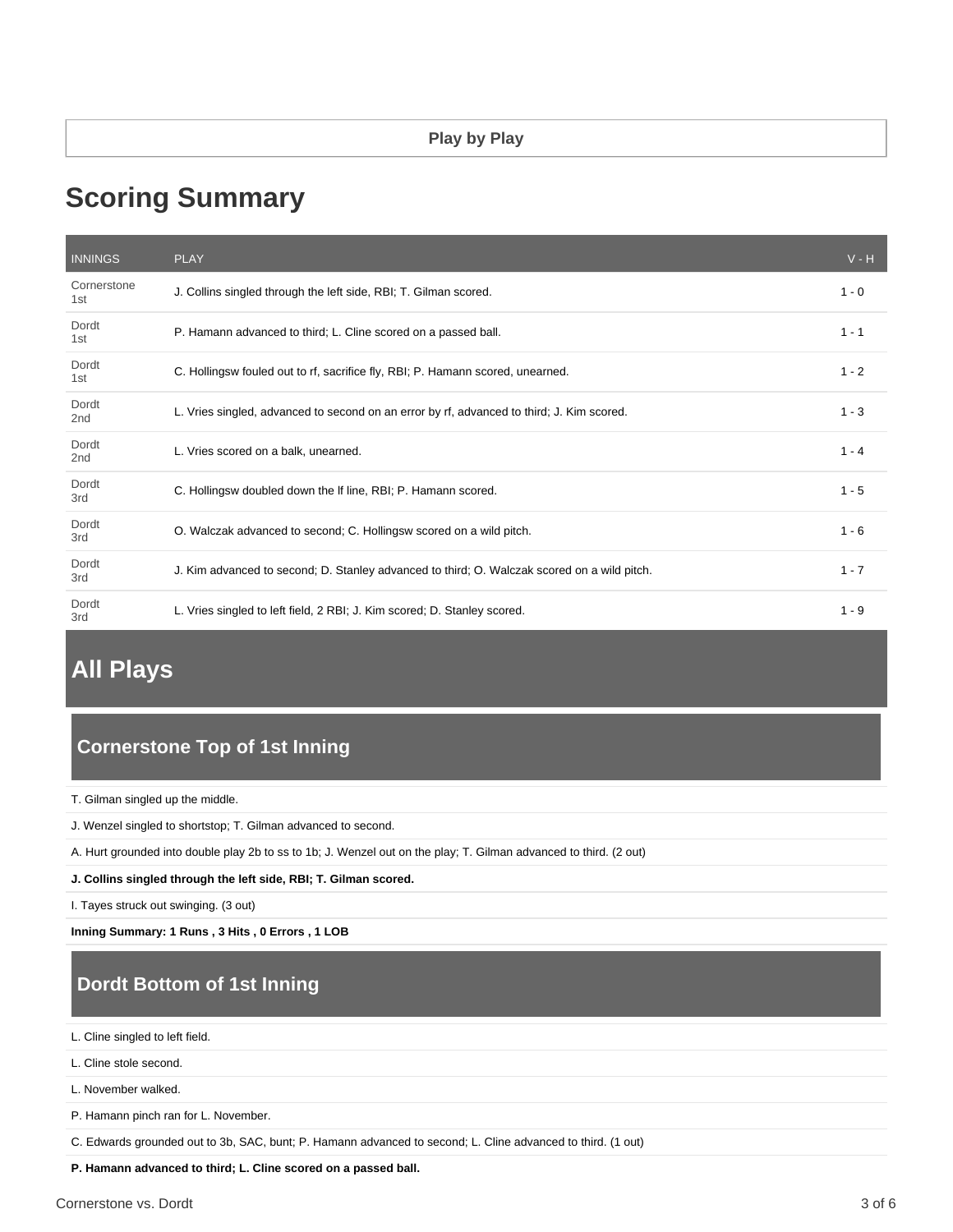# **Scoring Summary**

| <b>INNINGS</b>           | <b>PLAY</b>                                                                                 | $V - H$ |
|--------------------------|---------------------------------------------------------------------------------------------|---------|
| Cornerstone<br>1st       | J. Collins singled through the left side, RBI; T. Gilman scored.                            | $1 - 0$ |
| Dordt<br>1st             | P. Hamann advanced to third; L. Cline scored on a passed ball.                              | $1 - 1$ |
| Dordt<br>1st             | C. Hollingsw fouled out to rf, sacrifice fly, RBI; P. Hamann scored, unearned.              | $1 - 2$ |
| Dordt<br>2 <sub>nd</sub> | L. Vries singled, advanced to second on an error by rf, advanced to third; J. Kim scored.   | $1 - 3$ |
| Dordt<br>2 <sub>nd</sub> | L. Vries scored on a balk, unearned.                                                        | $1 - 4$ |
| Dordt<br>3rd             | C. Hollingsw doubled down the If line, RBI; P. Hamann scored.                               | $1 - 5$ |
| Dordt<br>3rd             | O. Walczak advanced to second; C. Hollingsw scored on a wild pitch.                         | $1 - 6$ |
| Dordt<br>3rd             | J. Kim advanced to second; D. Stanley advanced to third; O. Walczak scored on a wild pitch. | $1 - 7$ |
| Dordt<br>3rd             | L. Vries singled to left field, 2 RBI; J. Kim scored; D. Stanley scored.                    | $1 - 9$ |

# **All Plays**

## **Cornerstone Top of 1st Inning**

T. Gilman singled up the middle.

J. Wenzel singled to shortstop; T. Gilman advanced to second.

A. Hurt grounded into double play 2b to ss to 1b; J. Wenzel out on the play; T. Gilman advanced to third. (2 out)

**J. Collins singled through the left side, RBI; T. Gilman scored.**

I. Tayes struck out swinging. (3 out)

**Inning Summary: 1 Runs , 3 Hits , 0 Errors , 1 LOB**

# **Dordt Bottom of 1st Inning**

L. Cline singled to left field.

L. Cline stole second.

L. November walked.

P. Hamann pinch ran for L. November.

C. Edwards grounded out to 3b, SAC, bunt; P. Hamann advanced to second; L. Cline advanced to third. (1 out)

**P. Hamann advanced to third; L. Cline scored on a passed ball.**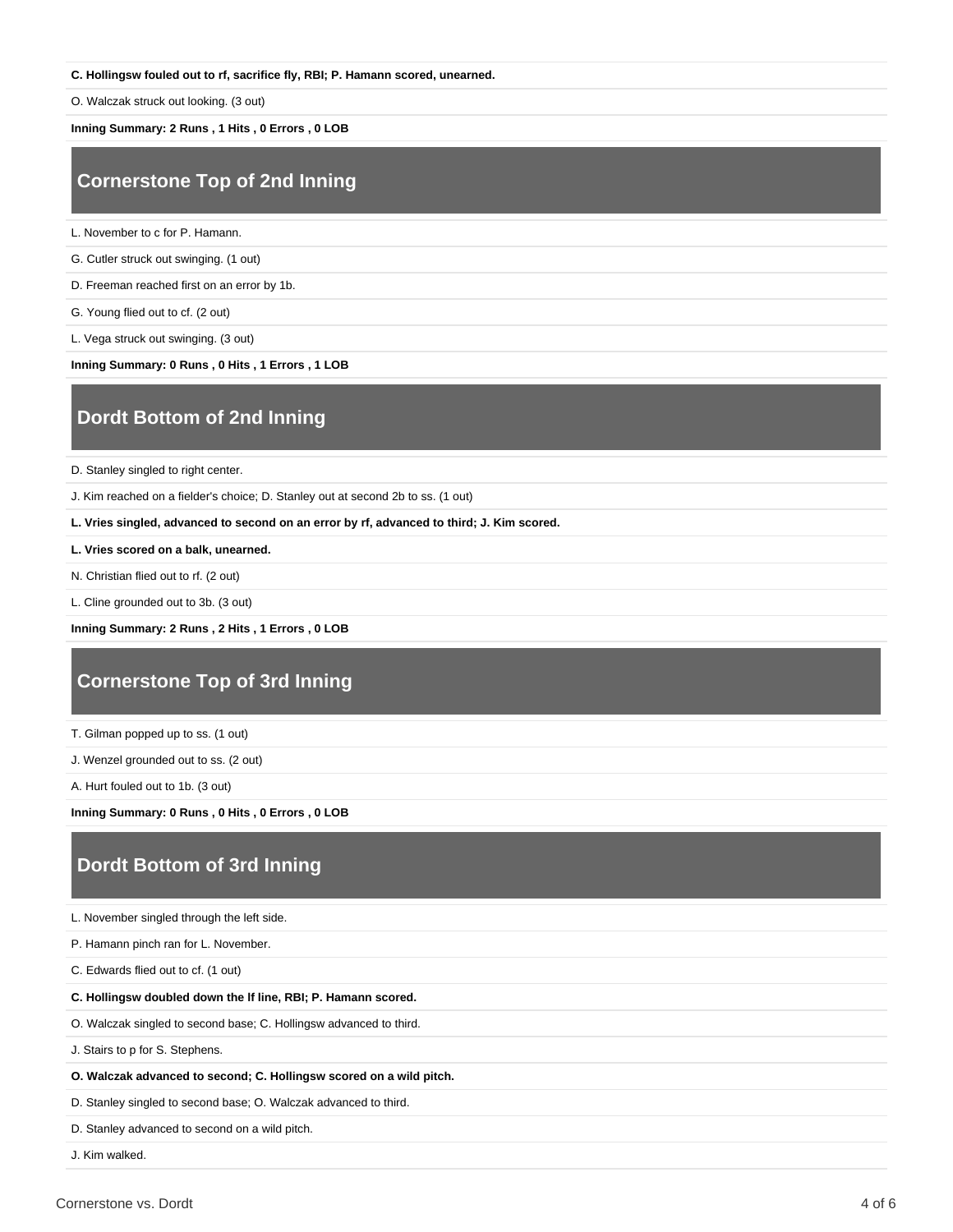#### **C. Hollingsw fouled out to rf, sacrifice fly, RBI; P. Hamann scored, unearned.**

O. Walczak struck out looking. (3 out)

**Inning Summary: 2 Runs , 1 Hits , 0 Errors , 0 LOB**

### **Cornerstone Top of 2nd Inning**

L. November to c for P. Hamann.

G. Cutler struck out swinging. (1 out)

D. Freeman reached first on an error by 1b.

G. Young flied out to cf. (2 out)

L. Vega struck out swinging. (3 out)

**Inning Summary: 0 Runs , 0 Hits , 1 Errors , 1 LOB**

## **Dordt Bottom of 2nd Inning**

D. Stanley singled to right center.

J. Kim reached on a fielder's choice; D. Stanley out at second 2b to ss. (1 out)

**L. Vries singled, advanced to second on an error by rf, advanced to third; J. Kim scored.**

**L. Vries scored on a balk, unearned.**

N. Christian flied out to rf. (2 out)

L. Cline grounded out to 3b. (3 out)

**Inning Summary: 2 Runs , 2 Hits , 1 Errors , 0 LOB**

### **Cornerstone Top of 3rd Inning**

T. Gilman popped up to ss. (1 out)

J. Wenzel grounded out to ss. (2 out)

A. Hurt fouled out to 1b. (3 out)

**Inning Summary: 0 Runs , 0 Hits , 0 Errors , 0 LOB**

### **Dordt Bottom of 3rd Inning**

L. November singled through the left side.

P. Hamann pinch ran for L. November.

C. Edwards flied out to cf. (1 out)

**C. Hollingsw doubled down the lf line, RBI; P. Hamann scored.**

O. Walczak singled to second base; C. Hollingsw advanced to third.

J. Stairs to p for S. Stephens.

**O. Walczak advanced to second; C. Hollingsw scored on a wild pitch.**

D. Stanley singled to second base; O. Walczak advanced to third.

D. Stanley advanced to second on a wild pitch.

J. Kim walked.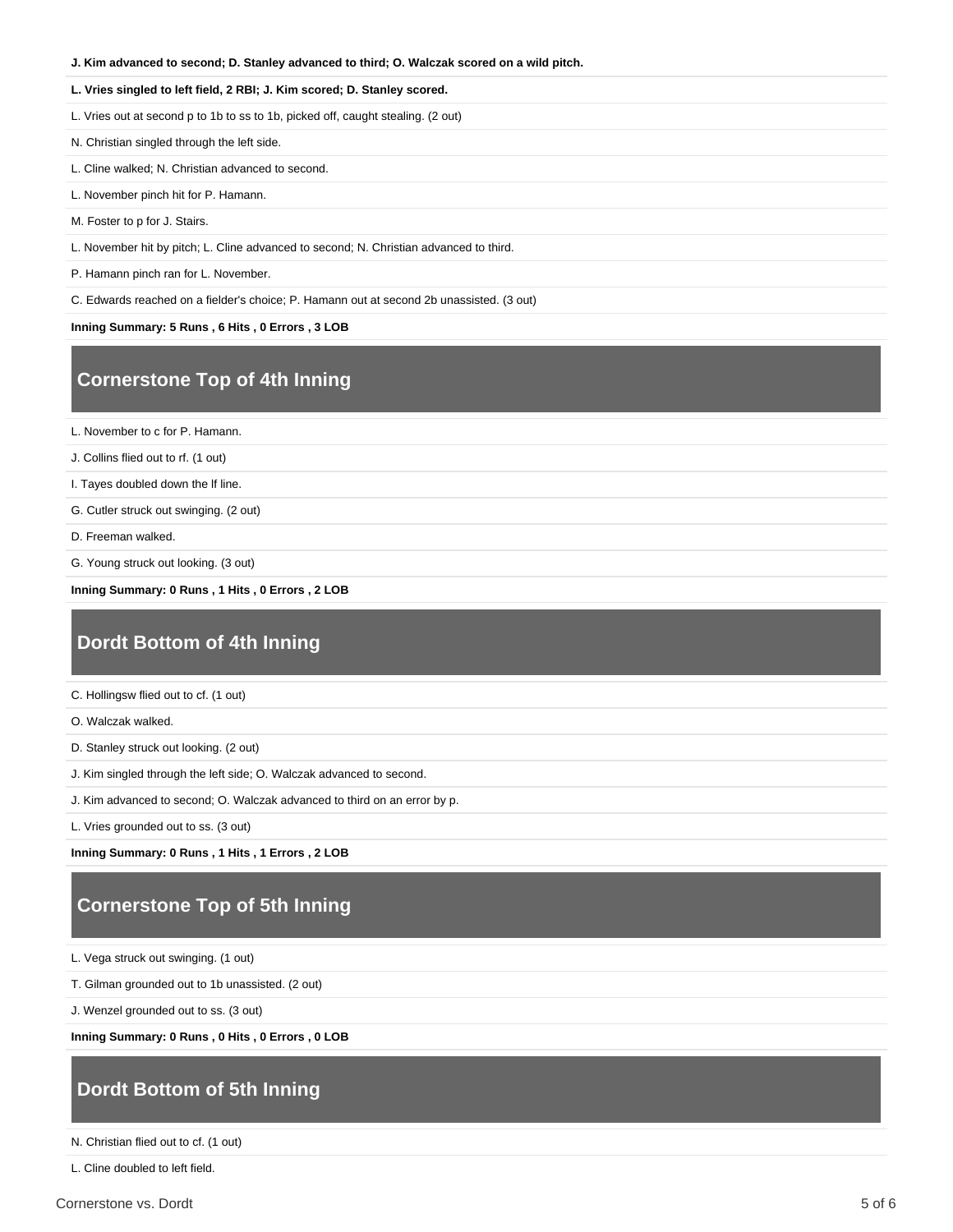**J. Kim advanced to second; D. Stanley advanced to third; O. Walczak scored on a wild pitch.**

#### **L. Vries singled to left field, 2 RBI; J. Kim scored; D. Stanley scored.**

L. Vries out at second p to 1b to ss to 1b, picked off, caught stealing. (2 out)

N. Christian singled through the left side.

L. Cline walked; N. Christian advanced to second.

L. November pinch hit for P. Hamann.

M. Foster to p for J. Stairs.

L. November hit by pitch; L. Cline advanced to second; N. Christian advanced to third.

P. Hamann pinch ran for L. November.

C. Edwards reached on a fielder's choice; P. Hamann out at second 2b unassisted. (3 out)

**Inning Summary: 5 Runs , 6 Hits , 0 Errors , 3 LOB**

#### **Cornerstone Top of 4th Inning**

L. November to c for P. Hamann.

J. Collins flied out to rf. (1 out)

I. Tayes doubled down the lf line.

G. Cutler struck out swinging. (2 out)

D. Freeman walked.

G. Young struck out looking. (3 out)

**Inning Summary: 0 Runs , 1 Hits , 0 Errors , 2 LOB**

#### **Dordt Bottom of 4th Inning**

C. Hollingsw flied out to cf. (1 out)

O. Walczak walked.

D. Stanley struck out looking. (2 out)

J. Kim singled through the left side; O. Walczak advanced to second.

J. Kim advanced to second; O. Walczak advanced to third on an error by p.

L. Vries grounded out to ss. (3 out)

**Inning Summary: 0 Runs , 1 Hits , 1 Errors , 2 LOB**

### **Cornerstone Top of 5th Inning**

L. Vega struck out swinging. (1 out)

T. Gilman grounded out to 1b unassisted. (2 out)

J. Wenzel grounded out to ss. (3 out)

**Inning Summary: 0 Runs , 0 Hits , 0 Errors , 0 LOB**

#### **Dordt Bottom of 5th Inning**

N. Christian flied out to cf. (1 out)

L. Cline doubled to left field.